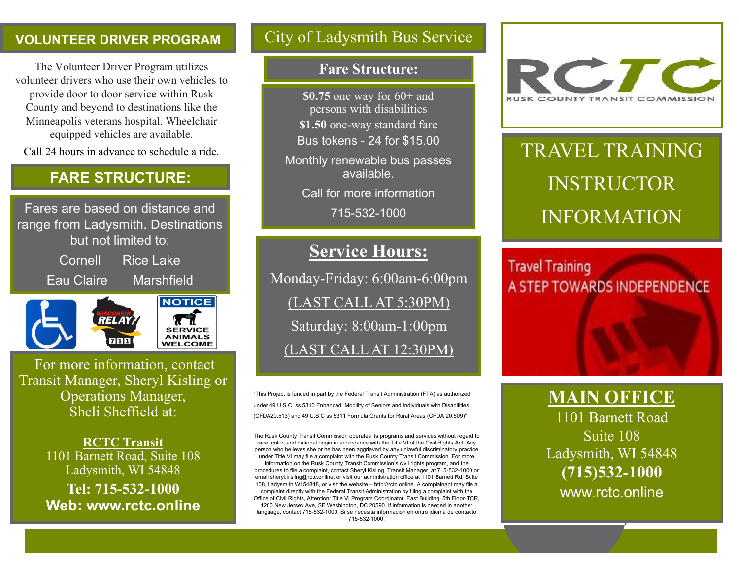#### **VOLUNTEER DRIVER PROGRAM**

The Volunteer Driver Program utilizes volunteer drivers who use their own vehicles to provide door to door service within Rusk County and beyond to destinations like the Minneapolis veterans hospital. Wheelchair equipped vehicles are available.

Call 24 hours in advance to schedule a ride.

## **FARE STRUCTURE:**

Fares are based on distance and range from Ladysmith. Destinations but not limited to: Cornell Rice Lake

Eau Claire Marshfield



For more information, contact Transit Manager, Sheryl Kisling or Operations Manager, Sheli Sheffield at:

> **RCTC Transit**  1101 Barnett Road, Suite 108 Ladysmith, WI 54848

**Tel: 715-532-1000 Web: www.rctc.online** 

## City of Ladysmith Bus Service

#### **Fare Structure:**

**\$0.75** one way for 60+ and persons with disabilities **\$1.50** one-way standard fare Bus tokens - 24 for \$15.00

Monthly renewable bus passes available.

Call for more information

715-532-1000

## **Service Hours:**

Monday-Friday: 6:00am-6:00pm (LAST CALL AT 5:30PM) Saturday: 8:00am-1:00pm (LAST CALL AT 12:30PM)

"This Project is funded in part by the Federal Transit Administration (FTA) as authorized under 49 U.S.C. ss.5310 Enhanced Mobility of Seniors and Individuals with Disabilities (CFDA20.513) and 49 U.S.C ss 5311 Formula Grants for Rural Areas (CFDA 20.509)"

The Rusk County Transit Commission operates its programs and services without regard to race, color, and national origin in accordance with the Title VI of the Civil Rights Act. Any person who believes she or he has been aggrieved by any unlawful discriminatory practice under Title VI may file a complaint with the Rusk County Transit Commission. For more

information on the Rusk County Transit Commission's civil rights program, and the procedures to file a complaint, contact Sheryl Kisling, Transit Manager, at 715-532-1000 or email sheryl.kisling@rctc.online; or visit our administration office at 1101 Barnett Rd, Suite 108, Ladysmith WI 54848, or visit the website – http://rctc.online. A complainant may file a complaint directly with the Federal Transit Administration by filing a complaint with the Office of Civil Rights, Attention: Title VI Program Coordinator, East Building, 5th Floor-TCR, 1200 New Jersey Ave, SE Washington, DC 20590. If information is needed in another language, contact 715-532-1000. Si se necesita informacion en ontro idioma de contacto 715-532-1000.



# TRAVEL TRAINING INSTRUCTOR INFORMATION

## **Travel Training** A STEP TOWARDS INDEPENDENCE

**MAIN OFFICE**

1101 Barnett Road Suite 108 Ladysmith, WI 54848 **(715)532-1000** www.rctc.online